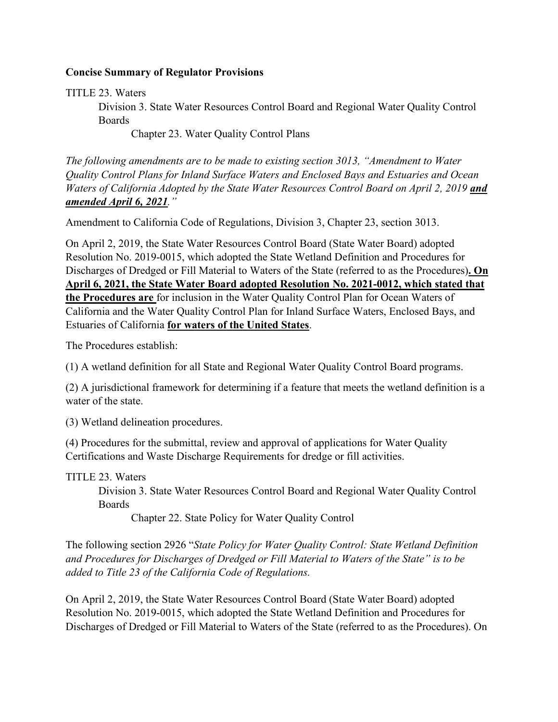## **Concise Summary of Regulator Provisions**

TITLE 23. Waters

Division 3. State Water Resources Control Board and Regional Water Quality Control Boards

Chapter 23. Water Quality Control Plans

*The following amendments are to be made to existing section 3013, "Amendment to Water Quality Control Plans for Inland Surface Waters and Enclosed Bays and Estuaries and Ocean Waters of California Adopted by the State Water Resources Control Board on April 2, 2019 and amended April 6, 2021."* 

Amendment to California Code of Regulations, Division 3, Chapter 23, section 3013.

On April 2, 2019, the State Water Resources Control Board (State Water Board) adopted Resolution No. 2019-0015, which adopted the State Wetland Definition and Procedures for Discharges of Dredged or Fill Material to Waters of the State (referred to as the Procedures)**. On April 6, 2021, the State Water Board adopted Resolution No. 2021-0012, which stated that the Procedures are** for inclusion in the Water Quality Control Plan for Ocean Waters of California and the Water Quality Control Plan for Inland Surface Waters, Enclosed Bays, and Estuaries of California **for waters of the United States**.

The Procedures establish:

(1) A wetland definition for all State and Regional Water Quality Control Board programs.

(2) A jurisdictional framework for determining if a feature that meets the wetland definition is a water of the state.

(3) Wetland delineation procedures.

(4) Procedures for the submittal, review and approval of applications for Water Quality Certifications and Waste Discharge Requirements for dredge or fill activities.

TITLE 23. Waters

Division 3. State Water Resources Control Board and Regional Water Quality Control Boards

Chapter 22. State Policy for Water Quality Control

The following section 2926 "*State Policy for Water Quality Control: State Wetland Definition and Procedures for Discharges of Dredged or Fill Material to Waters of the State" is to be added to Title 23 of the California Code of Regulations.* 

On April 2, 2019, the State Water Resources Control Board (State Water Board) adopted Resolution No. 2019-0015, which adopted the State Wetland Definition and Procedures for Discharges of Dredged or Fill Material to Waters of the State (referred to as the Procedures). On